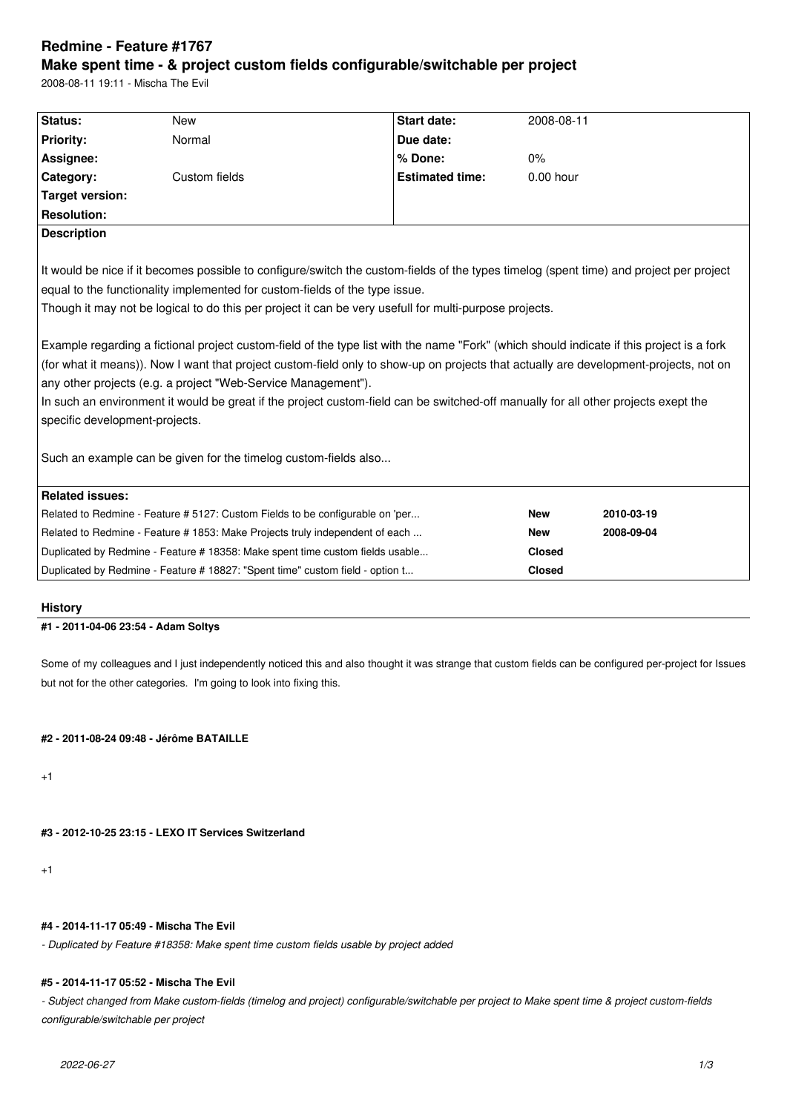# **Redmine - Feature #1767 Make spent time - & project custom fields configurable/switchable per project**

2008-08-11 19:11 - Mischa The Evil

| Status:                        | <b>New</b>                                                                                                                                                                                                                                                                                                                                                                                                                                                                                | <b>Start date:</b>     | 2008-08-11    |            |
|--------------------------------|-------------------------------------------------------------------------------------------------------------------------------------------------------------------------------------------------------------------------------------------------------------------------------------------------------------------------------------------------------------------------------------------------------------------------------------------------------------------------------------------|------------------------|---------------|------------|
| <b>Priority:</b>               | Normal                                                                                                                                                                                                                                                                                                                                                                                                                                                                                    | Due date:              |               |            |
| Assignee:                      |                                                                                                                                                                                                                                                                                                                                                                                                                                                                                           | % Done:                | 0%            |            |
| Category:                      | Custom fields                                                                                                                                                                                                                                                                                                                                                                                                                                                                             | <b>Estimated time:</b> | $0.00$ hour   |            |
| <b>Target version:</b>         |                                                                                                                                                                                                                                                                                                                                                                                                                                                                                           |                        |               |            |
| <b>Resolution:</b>             |                                                                                                                                                                                                                                                                                                                                                                                                                                                                                           |                        |               |            |
| <b>Description</b>             |                                                                                                                                                                                                                                                                                                                                                                                                                                                                                           |                        |               |            |
|                                | It would be nice if it becomes possible to configure/switch the custom-fields of the types timelog (spent time) and project per project<br>equal to the functionality implemented for custom-fields of the type issue.<br>Though it may not be logical to do this per project it can be very usefull for multi-purpose projects.                                                                                                                                                          |                        |               |            |
| specific development-projects. | Example regarding a fictional project custom-field of the type list with the name "Fork" (which should indicate if this project is a fork<br>(for what it means)). Now I want that project custom-field only to show-up on projects that actually are development-projects, not on<br>any other projects (e.g. a project "Web-Service Management").<br>In such an environment it would be great if the project custom-field can be switched-off manually for all other projects exept the |                        |               |            |
|                                | Such an example can be given for the timelog custom-fields also                                                                                                                                                                                                                                                                                                                                                                                                                           |                        |               |            |
| <b>Related issues:</b>         |                                                                                                                                                                                                                                                                                                                                                                                                                                                                                           |                        |               |            |
|                                | Related to Redmine - Feature # 5127: Custom Fields to be configurable on 'per                                                                                                                                                                                                                                                                                                                                                                                                             |                        | <b>New</b>    | 2010-03-19 |
|                                | Related to Redmine - Feature # 1853: Make Projects truly independent of each                                                                                                                                                                                                                                                                                                                                                                                                              |                        | <b>New</b>    | 2008-09-04 |
|                                | Duplicated by Redmine - Feature # 18358: Make spent time custom fields usable                                                                                                                                                                                                                                                                                                                                                                                                             |                        | <b>Closed</b> |            |

**#1 - 2011-04-06 23:54 - Adam Soltys**

Some of my colleagues and I just independently noticed this and also thought it was strange that custom fields can be configured per-project for Issues but not for the other categories. I'm going to look into fixing this.

## **#2 - 2011-08-24 09:48 - Jérôme BATAILLE**

+1

**#3 - 2012-10-25 23:15 - LEXO IT Services Switzerland**

+1

## **#4 - 2014-11-17 05:49 - Mischa The Evil**

*- Duplicated by Feature #18358: Make spent time custom fields usable by project added*

## **#5 - 2014-11-17 05:52 - Mischa The Evil**

*- Subject changed from Make custom-fields (timelog and project) configurable/switchable per project to Make spent time & project custom-fields configurable/switchable per project*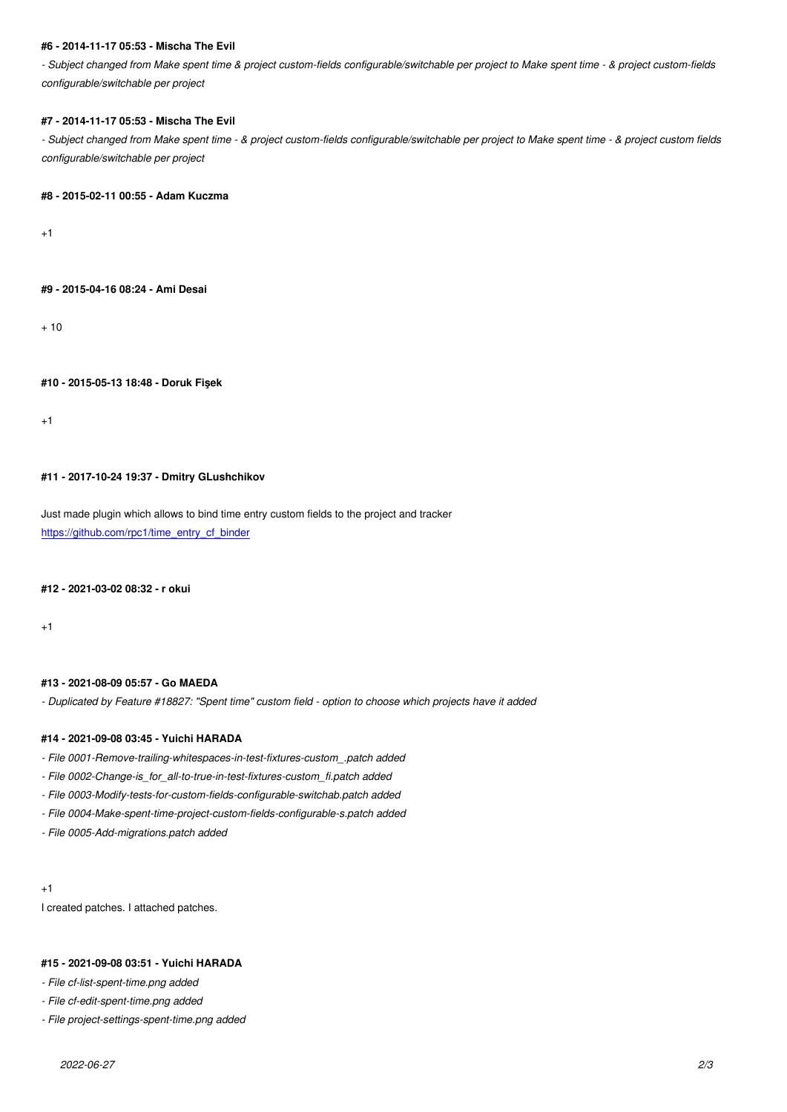*- Subject changed from Make spent time & project custom-fields configurable/switchable per project to Make spent time - & project custom-fields configurable/switchable per project*

#### **#7 - 2014-11-17 05:53 - Mischa The Evil**

*- Subject changed from Make spent time - & project custom-fields configurable/switchable per project to Make spent time - & project custom fields configurable/switchable per project*

## **#8 - 2015-02-11 00:55 - Adam Kuczma**

+1

#### **#9 - 2015-04-16 08:24 - Ami Desai**

 $+10$ 

#### **#10 - 2015-05-13 18:48 - Doruk Fişek**

+1

#### **#11 - 2017-10-24 19:37 - Dmitry GLushchikov**

Just made plugin which allows to bind time entry custom fields to the project and tracker https://github.com/rpc1/time\_entry\_cf\_binder

#### **[#12 - 2021-03-02 08:32 - r okui](https://github.com/rpc1/time_entry_cf_binder)**

+1

### **#13 - 2021-08-09 05:57 - Go MAEDA**

*- Duplicated by Feature #18827: "Spent time" custom field - option to choose which projects have it added*

#### **#14 - 2021-09-08 03:45 - Yuichi HARADA**

- *File 0001-Remove-trailing-whitespaces-in-test-fixtures-custom\_.patch added*
- *File 0002-Change-is\_for\_all-to-true-in-test-fixtures-custom\_fi.patch added*
- *File 0003-Modify-tests-for-custom-fields-configurable-switchab.patch added*
- *File 0004-Make-spent-time-project-custom-fields-configurable-s.patch added*
- *File 0005-Add-migrations.patch added*

+1

I created patches. I attached patches.

#### **#15 - 2021-09-08 03:51 - Yuichi HARADA**

- *File cf-list-spent-time.png added*
- *File cf-edit-spent-time.png added*
- *File project-settings-spent-time.png added*